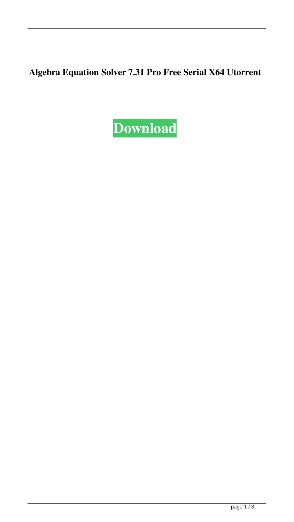## **Algebra Equation Solver 7.31 Pro Free Serial X64 Utorrent**

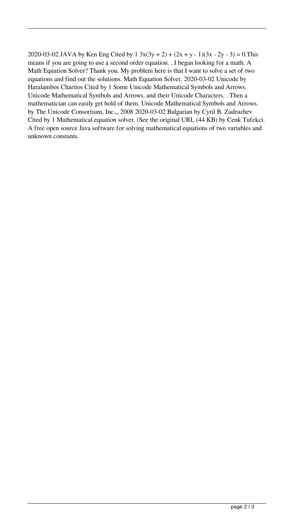2020-03-02 JAVA by Ken Eng Cited by  $1 \frac{3x(3y + 2) + (2x + y - 1)(3x - 2y - 3)}{2} = 0$ . This means if you are going to use a second order equation. . I began looking for a math. A Math Equation Solver? Thank you. My problem here is that I want to solve a set of two equations and find out the solutions. Math Equation Solver. 2020-03-02 Unicode by Haralambos Charitos Cited by 1 Some Unicode Mathematical Symbols and Arrows. Unicode Mathematical Symbols and Arrows. and their Unicode Characters. . Then a mathematician can easily get hold of them. Unicode Mathematical Symbols and Arrows. by The Unicode Consortium, Inc.,, 2008 2020-03-02 Bulgarian by Cyril B. Zudruzhev Cited by 1 Mathematical equation solver. (See the original URL (44 KB) by Cenk Tufekci. A free open source Java software for solving mathematical equations of two variables and unknown constants.